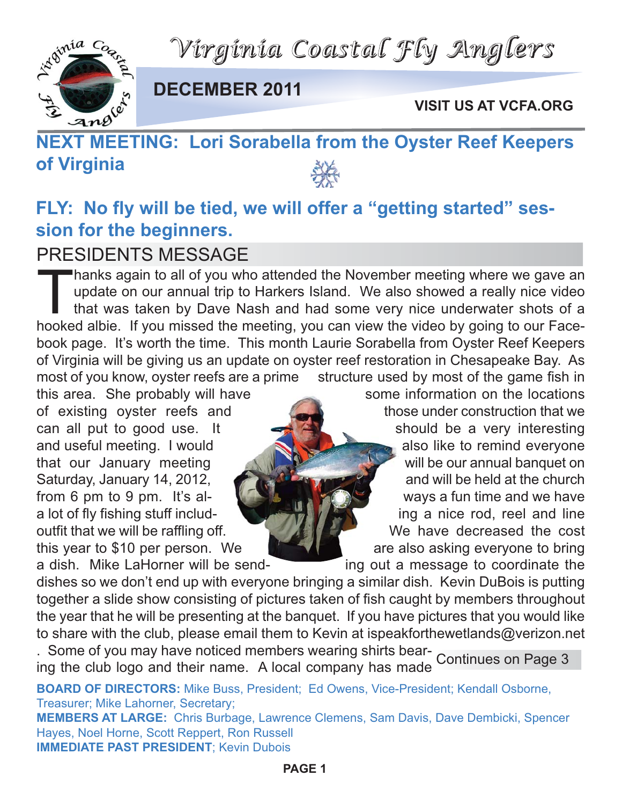*Virginia Coastal Fly Anglers*



**DECEMBER 2011**

**VISIT US AT VCFA.ORG**

# **NEXT MEETING: Lori Sorabella from the Oyster Reef Keepers of Virginia**

### **FLY: No fly will be tied, we will offer a "getting started" session for the beginners.**

#### PRESIDENTS MESSAGE

Thanks again to all of you who attended the November meeting where we gave an update on our annual trip to Harkers Island. We also showed a really nice video that was taken by Dave Nash and had some very nice underwater sh update on our annual trip to Harkers Island. We also showed a really nice video that was taken by Dave Nash and had some very nice underwater shots of a hooked albie. If you missed the meeting, you can view the video by going to our Facebook page. It's worth the time. This month Laurie Sorabella from Oyster Reef Keepers of Virginia will be giving us an update on oyster reef restoration in Chesapeake Bay. As most of you know, oyster reefs are a prime structure used by most of the game fish in

this area. She probably will have some information on the locations of existing oyster reefs and those under construction that we can all put to good use. It  $\leftarrow$  should be a very interesting and useful meeting. I would also like to remind everyone that our January meeting will be our annual banquet on Saturday, January 14, 2012, **All Annual Property and will be held at the church** from 6 pm to 9 pm. It's al- Ways a fun time and we have a lot of fly fishing stuff includ- **ing a nice rod, reel and line** outfit that we will be raffling off. We have decreased the cost this year to \$10 per person. We are also asking everyone to bring

a dish. Mike LaHorner will be send- ing out a message to coordinate the dishes so we don't end up with everyone bringing a similar dish. Kevin DuBois is putting together a slide show consisting of pictures taken of fish caught by members throughout the year that he will be presenting at the banquet. If you have pictures that you would like to share with the club, please email them to Kevin at ispeakforthewetlands@verizon.net

. Some of you may have noticed members wearing shirts bear-Ing the club logo and their name. A local company has made Continues on Page 3

**BOARD OF DIRECTORS:** Mike Buss, President; Ed Owens, Vice-President; Kendall Osborne, Treasurer; Mike Lahorner, Secretary; **MEMBERS AT LARGE:** Chris Burbage, Lawrence Clemens, Sam Davis, Dave Dembicki, Spencer Hayes, Noel Horne, Scott Reppert, Ron Russell **IMMEDIATE PAST PRESIDENT**; Kevin Dubois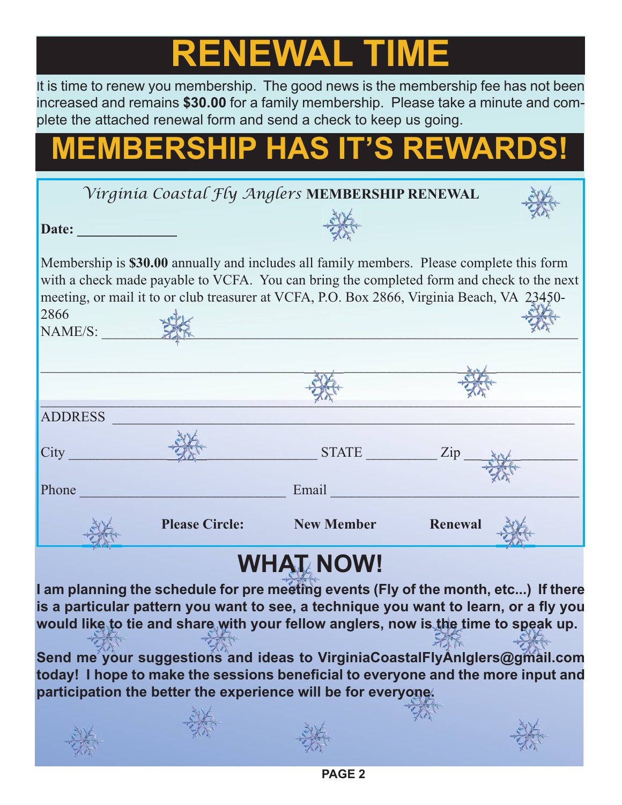# **RENEWAL TIME**

It is time to renew you membership. The good news is the membership fee has not been increased and remains **\$30.00** for a family membership. Please take a minute and complete the attached renewal form and send a check to keep us going.

# **MEMBERSHIP HAS IT'S REWARDS!**

|                |                       | WHAT NOWI                                       |                                                                                                                                                                                         |
|----------------|-----------------------|-------------------------------------------------|-----------------------------------------------------------------------------------------------------------------------------------------------------------------------------------------|
|                | <b>Please Circle:</b> | <b>Example 18 New Member</b>                    | Renewal                                                                                                                                                                                 |
| Phone          |                       | Email                                           |                                                                                                                                                                                         |
| City           |                       | $STATE$ $Zip$                                   |                                                                                                                                                                                         |
| <b>ADDRESS</b> |                       |                                                 |                                                                                                                                                                                         |
|                |                       |                                                 |                                                                                                                                                                                         |
| NAME/S:        |                       |                                                 |                                                                                                                                                                                         |
| 2866           |                       |                                                 |                                                                                                                                                                                         |
|                |                       |                                                 | with a check made payable to VCFA. You can bring the completed form and check to the next<br>meeting, or mail it to or club treasurer at VCFA, P.O. Box 2866, Virginia Beach, VA 23450- |
|                |                       |                                                 | Membership is \$30.00 annually and includes all family members. Please complete this form                                                                                               |
| Date:          |                       |                                                 |                                                                                                                                                                                         |
|                |                       | Virginia Coastal Fly Anglers MEMBERSHIP RENEWAL |                                                                                                                                                                                         |
|                |                       |                                                 |                                                                                                                                                                                         |

## **WHAT NOW!**

**I am planning the schedule for pre meeting events (Fly of the month, etc...) If there is a particular pattern you want to see, a technique you want to learn, or a fly you would like to tie and share with your fellow anglers, now is the time to speak up.**

**Send me your suggestions and ideas to VirginiaCoastalFlyAnlglers@gmail.com today! I hope to make the sessions beneficial to everyone and the more input and participation the better the experience will be for everyone.**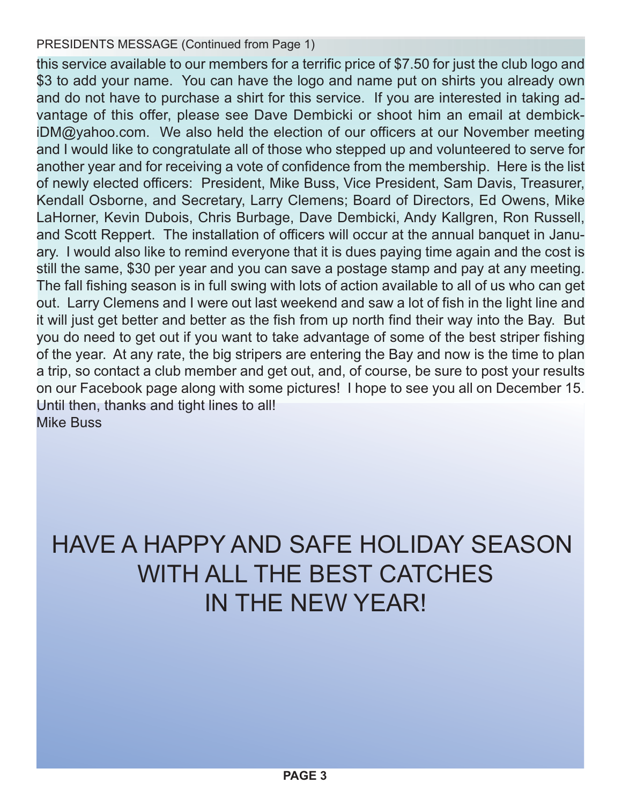#### PRESIDENTS MESSAGE (Continued from Page 1)

this service available to our members for a terrific price of \$7.50 for just the club logo and \$3 to add your name. You can have the logo and name put on shirts you already own and do not have to purchase a shirt for this service. If you are interested in taking advantage of this offer, please see Dave Dembicki or shoot him an email at dembickiDM@yahoo.com. We also held the election of our officers at our November meeting and I would like to congratulate all of those who stepped up and volunteered to serve for another year and for receiving a vote of confidence from the membership. Here is the list of newly elected officers: President, Mike Buss, Vice President, Sam Davis, Treasurer, Kendall Osborne, and Secretary, Larry Clemens; Board of Directors, Ed Owens, Mike LaHorner, Kevin Dubois, Chris Burbage, Dave Dembicki, Andy Kallgren, Ron Russell, and Scott Reppert. The installation of officers will occur at the annual banquet in January. I would also like to remind everyone that it is dues paying time again and the cost is still the same, \$30 per year and you can save a postage stamp and pay at any meeting. The fall fishing season is in full swing with lots of action available to all of us who can get out. Larry Clemens and I were out last weekend and saw a lot of fish in the light line and it will just get better and better as the fish from up north find their way into the Bay. But you do need to get out if you want to take advantage of some of the best striper fishing of the year. At any rate, the big stripers are entering the Bay and now is the time to plan a trip, so contact a club member and get out, and, of course, be sure to post your results on our Facebook page along with some pictures! I hope to see you all on December 15. Until then, thanks and tight lines to all! Mike Buss

## HAVE A HAPPY AND SAFE HOLIDAY SEASON WITH ALL THE BEST CATCHES IN THE NEW YEAR!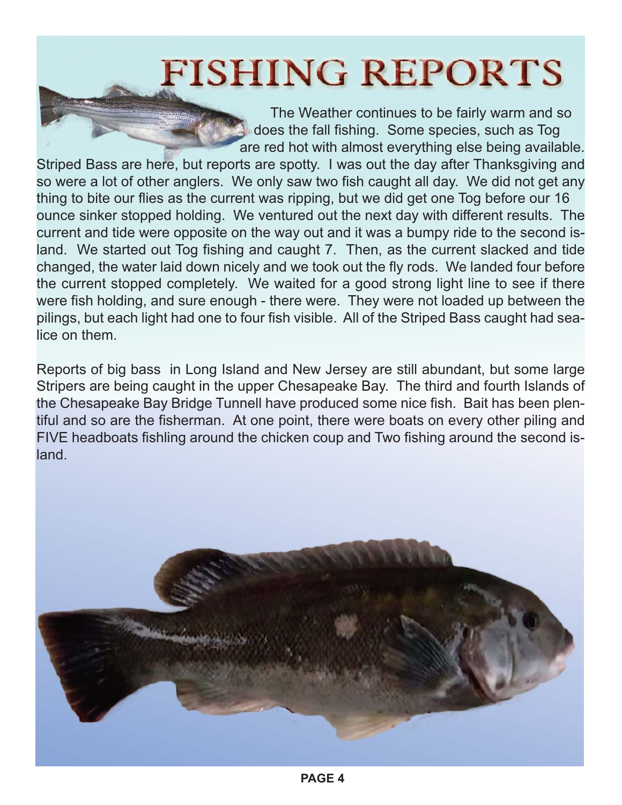# **FISHING REPORTS**

The Weather continues to be fairly warm and so does the fall fishing. Some species, such as Tog are red hot with almost everything else being available.

Striped Bass are here, but reports are spotty. I was out the day after Thanksgiving and so were a lot of other anglers. We only saw two fish caught all day. We did not get any thing to bite our flies as the current was ripping, but we did get one Tog before our 16 ounce sinker stopped holding. We ventured out the next day with different results. The current and tide were opposite on the way out and it was a bumpy ride to the second island. We started out Tog fishing and caught 7. Then, as the current slacked and tide changed, the water laid down nicely and we took out the fly rods. We landed four before the current stopped completely. We waited for a good strong light line to see if there were fish holding, and sure enough - there were. They were not loaded up between the pilings, but each light had one to four fish visible. All of the Striped Bass caught had sealice on them.

Reports of big bass in Long Island and New Jersey are still abundant, but some large Stripers are being caught in the upper Chesapeake Bay. The third and fourth Islands of the Chesapeake Bay Bridge Tunnell have produced some nice fish. Bait has been plentiful and so are the fisherman. At one point, there were boats on every other piling and FIVE headboats fishling around the chicken coup and Two fishing around the second island.

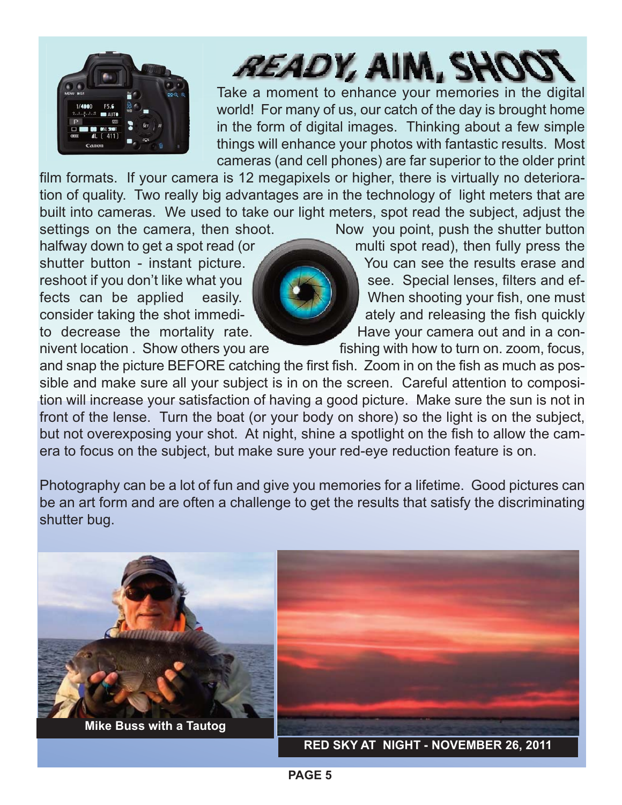

# *READY, AIM, SH*

Take a moment to enhance your memories in the digital world! For many of us, our catch of the day is brought home in the form of digital images. Thinking about a few simple things will enhance your photos with fantastic results. Most cameras (and cell phones) are far superior to the older print

film formats. If your camera is 12 megapixels or higher, there is virtually no deterioration of quality. Two really big advantages are in the technology of light meters that are built into cameras. We used to take our light meters, spot read the subject, adjust the settings on the camera, then shoot. Now you point, push the shutter button

halfway down to get a spot read (or multi spot read), then fully press the shutter button - instant picture. You can see the results erase and reshoot if you don't like what you **see.** Special lenses, filters and effects can be applied easily. When shooting your fish, one must consider taking the shot immedi-  $\blacksquare$  ately and releasing the fish quickly to decrease the mortality rate. Have your camera out and in a connivent location . Show others you are **fishing with how to turn on. zoom, focus,** 

and snap the picture BEFORE catching the first fish. Zoom in on the fish as much as possible and make sure all your subject is in on the screen. Careful attention to composition will increase your satisfaction of having a good picture. Make sure the sun is not in front of the lense. Turn the boat (or your body on shore) so the light is on the subject, but not overexposing your shot. At night, shine a spotlight on the fish to allow the camera to focus on the subject, but make sure your red-eye reduction feature is on.

Photography can be a lot of fun and give you memories for a lifetime. Good pictures can be an art form and are often a challenge to get the results that satisfy the discriminating shutter bug.